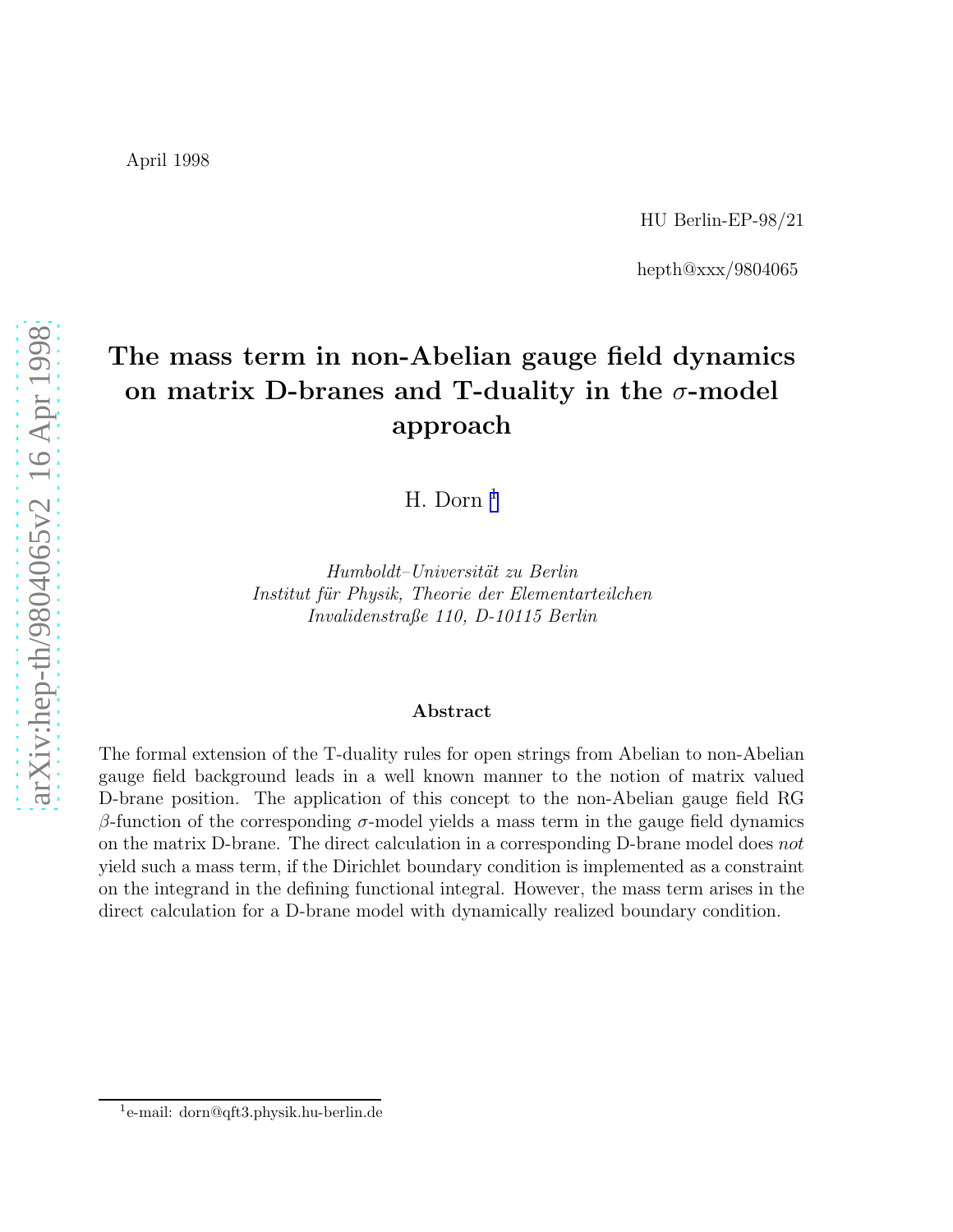hepth@xxx/9804065

# The mass term in non-Abelian gauge field dynamics on matrix D-branes and T-duality in the  $\sigma\text{-model}$ approach

H. Dorn 1

*Humboldt–Universit¨at zu Berlin Institut f¨ur Physik, Theorie der Elementarteilchen Invalidenstraße 110, D-10115 Berlin*

#### Abstract

The formal extension of the T-duality rules for open strings from Abelian to non-Abelian gauge field background leads in a well known manner to the notion of matrix valued D-brane position. The application of this concept to the non-Abelian gauge field RG β-function of the corresponding  $\sigma$ -model yields a mass term in the gauge field dynamics on the matrix D-brane. The direct calculation in a corresponding D-brane model does not yield such a mass term, if the Dirichlet boundary condition is implemented as a constraint on the integrand in the defining functional integral. However, the mass term arises in the direct calculation for a D-brane model with dynamically realized boundary condition.

<sup>1</sup> e-mail: dorn@qft3.physik.hu-berlin.de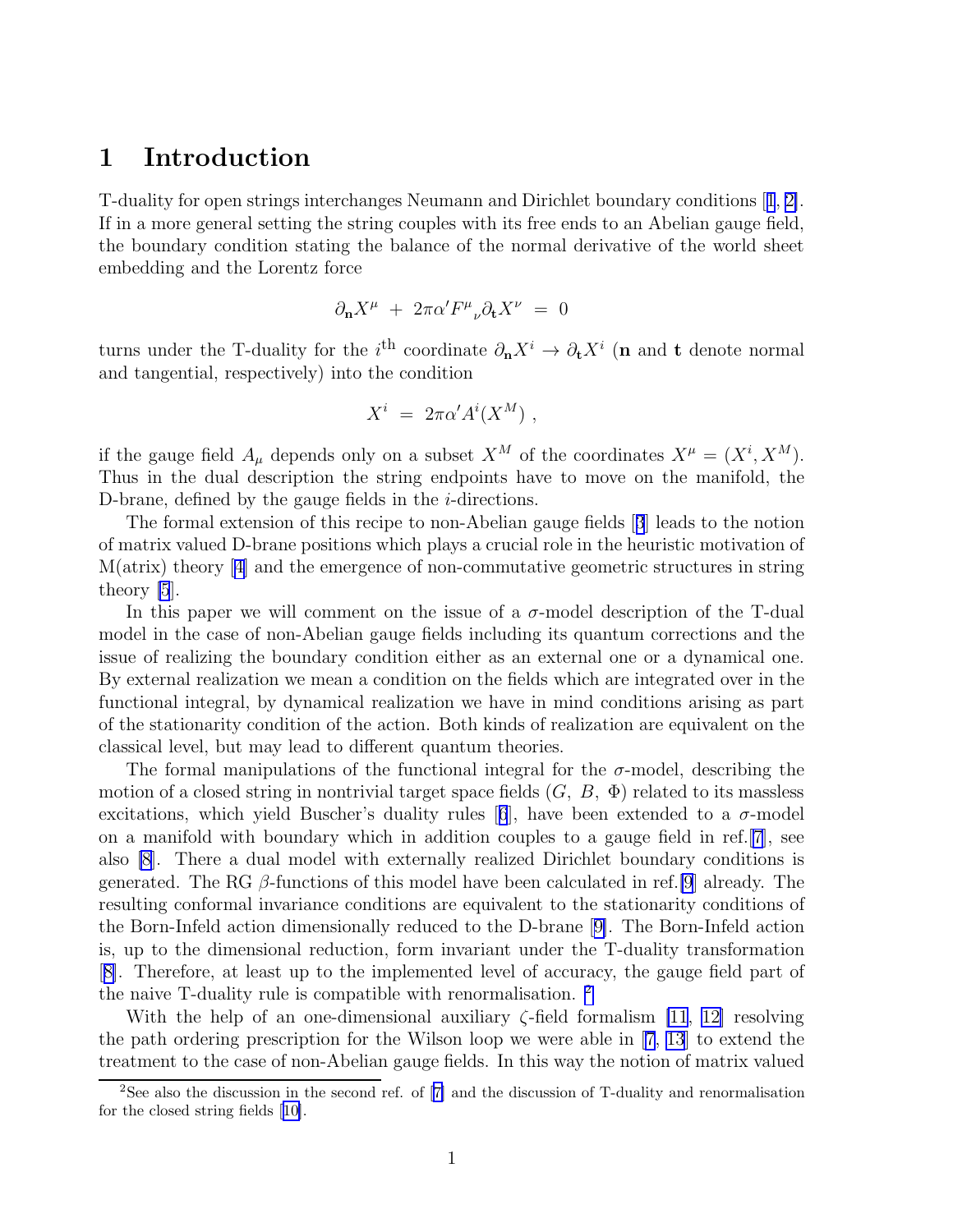#### 1 Introduction

T-duality for open strings interchanges Neumann and Dirichlet boundary conditions[[1](#page-12-0), [2\]](#page-12-0). If in a more general setting the string couples with its free ends to an Abelian gauge field, the boundary condition stating the balance of the normal derivative of the world sheet embedding and the Lorentz force

$$
\partial_{\bf n} X^\mu \ + \ 2\pi \alpha' F^\mu{}_\nu \partial_{\bf t} X^\nu \ = \ 0
$$

turns under the T-duality for the i<sup>th</sup> coordinate  $\partial_{\bf n} X^i \to \partial_{\bf t} X^i$  (n and t denote normal and tangential, respectively) into the condition

$$
X^i = 2\pi \alpha' A^i(X^M) ,
$$

if the gauge field  $A_\mu$  depends only on a subset  $X^M$  of the coordinates  $X^\mu = (X^i, X^M)$ . Thus in the dual description the string endpoints have to move on the manifold, the D-brane, defined by the gauge fields in the *i*-directions.

The formal extension of this recipe to non-Abelian gauge fields[[3](#page-12-0)] leads to the notion of matrix valued D-brane positions which plays a crucial role in the heuristic motivation of M(atrix) theory[[4\]](#page-12-0) and the emergence of non-commutative geometric structures in string theory [\[5](#page-12-0)].

In this paper we will comment on the issue of a  $\sigma$ -model description of the T-dual model in the case of non-Abelian gauge fields including its quantum corrections and the issue of realizing the boundary condition either as an external one or a dynamical one. By external realization we mean a condition on the fields which are integrated over in the functional integral, by dynamical realization we have in mind conditions arising as part of the stationarity condition of the action. Both kinds of realization are equivalent on the classical level, but may lead to different quantum theories.

The formal manipulations of the functional integral for the  $\sigma$ -model, describing the motion of a closed string in nontrivial target space fields  $(G, B, \Phi)$  related to its massless excitations,which yield Buscher's duality rules [[6](#page-12-0)], have been extended to a  $\sigma$ -model on a manifold with boundary which in addition couples to a gauge field in ref.[\[7](#page-12-0)], see also [\[8](#page-12-0)]. There a dual model with externally realized Dirichlet boundary conditions is generated. The RG  $\beta$ -functions of this model have been calculated in ref. [\[9](#page-12-0)] already. The resulting conformal invariance conditions are equivalent to the stationarity conditions of the Born-Infeld action dimensionally reduced to the D-brane[[9\]](#page-12-0). The Born-Infeld action is, up to the dimensional reduction, form invariant under the T-duality transformation [[8\]](#page-12-0). Therefore, at least up to the implemented level of accuracy, the gauge field part of the naive T-duality rule is compatible with renormalisation. <sup>2</sup>

With the help of an one-dimensional auxiliary  $\zeta$ -field formalism [\[11](#page-12-0), [12\]](#page-13-0) resolving the path ordering prescription for the Wilson loop we were able in [\[7,](#page-12-0) [13](#page-13-0)] to extend the treatment to the case of non-Abelian gauge fields. In this way the notion of matrix valued

<sup>2</sup>See also the discussion in the second ref. of[[7\]](#page-12-0) and the discussion of T-duality and renormalisation for the closed string fields[[10\]](#page-12-0).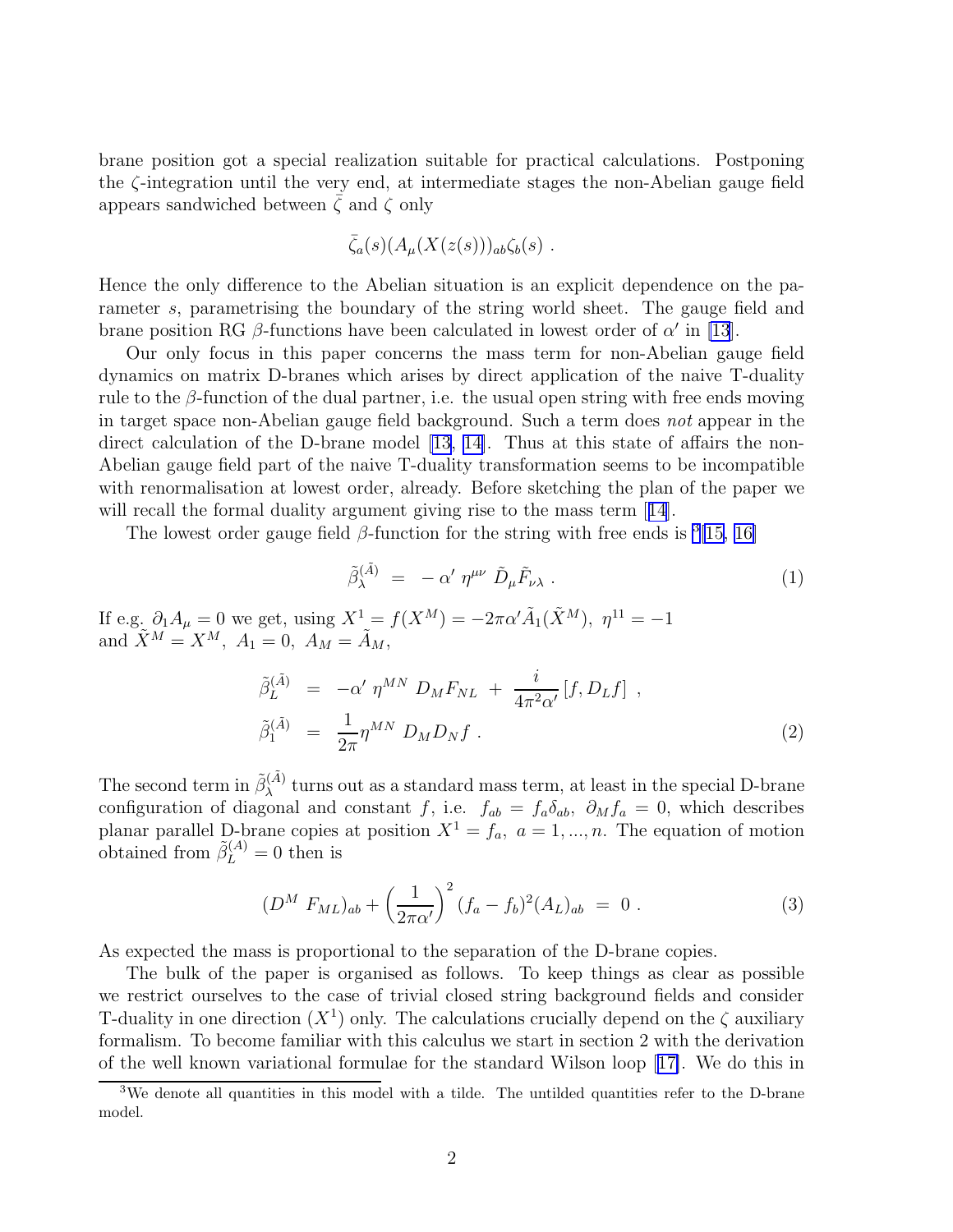brane position got a special realization suitable for practical calculations. Postponing the ζ-integration until the very end, at intermediate stages the non-Abelian gauge field appears sandwiched between  $\zeta$  and  $\zeta$  only

$$
\bar{\zeta}_a(s)(A_\mu(X(z(s)))_{ab}\zeta_b(s) .
$$

Hence the only difference to the Abelian situation is an explicit dependence on the parameter s, parametrising the boundary of the string world sheet. The gauge field and brane position RG  $\beta$ -functions have been calculated in lowest order of  $\alpha'$  in [\[13](#page-13-0)].

Our only focus in this paper concerns the mass term for non-Abelian gauge field dynamics on matrix D-branes which arises by direct application of the naive T-duality rule to the  $\beta$ -function of the dual partner, i.e. the usual open string with free ends moving in target space non-Abelian gauge field background. Such a term does *not* appear in the direct calculation of the D-brane model [\[13, 14\]](#page-13-0). Thus at this state of affairs the non-Abelian gauge field part of the naive T-duality transformation seems to be incompatible with renormalisation at lowest order, already. Before sketching the plan of the paper we willrecall the formal duality argument giving rise to the mass term [[14](#page-13-0)].

The lowest order gauge field  $\beta$ -function for the string with free ends is <sup>3</sup>[\[15](#page-13-0), [16\]](#page-13-0)

$$
\tilde{\beta}_{\lambda}^{(\tilde{A})} = -\alpha' \eta^{\mu\nu} \tilde{D}_{\mu} \tilde{F}_{\nu\lambda} . \qquad (1)
$$

If e.g.  $\partial_1 A_\mu = 0$  we get, using  $X^1 = f(X^M) = -2\pi\alpha' \tilde{A}_1(\tilde{X}^M)$ ,  $\eta^{11} = -1$ and  $\tilde{X}^M = X^M$ ,  $A_1 = 0$ ,  $A_M = \tilde{A}_M$ ,

$$
\tilde{\beta}_L^{(\tilde{A})} = -\alpha' \eta^{MN} D_M F_{NL} + \frac{i}{4\pi^2 \alpha'} [f, D_L f],
$$
\n
$$
\tilde{\beta}_1^{(\tilde{A})} = \frac{1}{2\pi} \eta^{MN} D_M D_N f.
$$
\n(2)

The second term in  $\tilde{\beta}_{\lambda}^{(\tilde{A})}$  turns out as a standard mass term, at least in the special D-brane configuration of diagonal and constant f, i.e.  $f_{ab} = f_a \delta_{ab}$ ,  $\partial_M f_a = 0$ , which describes planar parallel D-brane copies at position  $X^1 = f_a$ ,  $a = 1, ..., n$ . The equation of motion obtained from  $\tilde{\beta}_L^{(A)} = 0$  then is

$$
(D^M F_{ML})_{ab} + \left(\frac{1}{2\pi\alpha'}\right)^2 (f_a - f_b)^2 (A_L)_{ab} = 0.
$$
 (3)

As expected the mass is proportional to the separation of the D-brane copies.

The bulk of the paper is organised as follows. To keep things as clear as possible we restrict ourselves to the case of trivial closed string background fields and consider T-duality in one direction  $(X^1)$  only. The calculations crucially depend on the  $\zeta$  auxiliary formalism. To become familiar with this calculus we start in section 2 with the derivation of the well known variational formulae for the standard Wilson loop[[17\]](#page-13-0). We do this in

<sup>&</sup>lt;sup>3</sup>We denote all quantities in this model with a tilde. The untilded quantities refer to the D-brane model.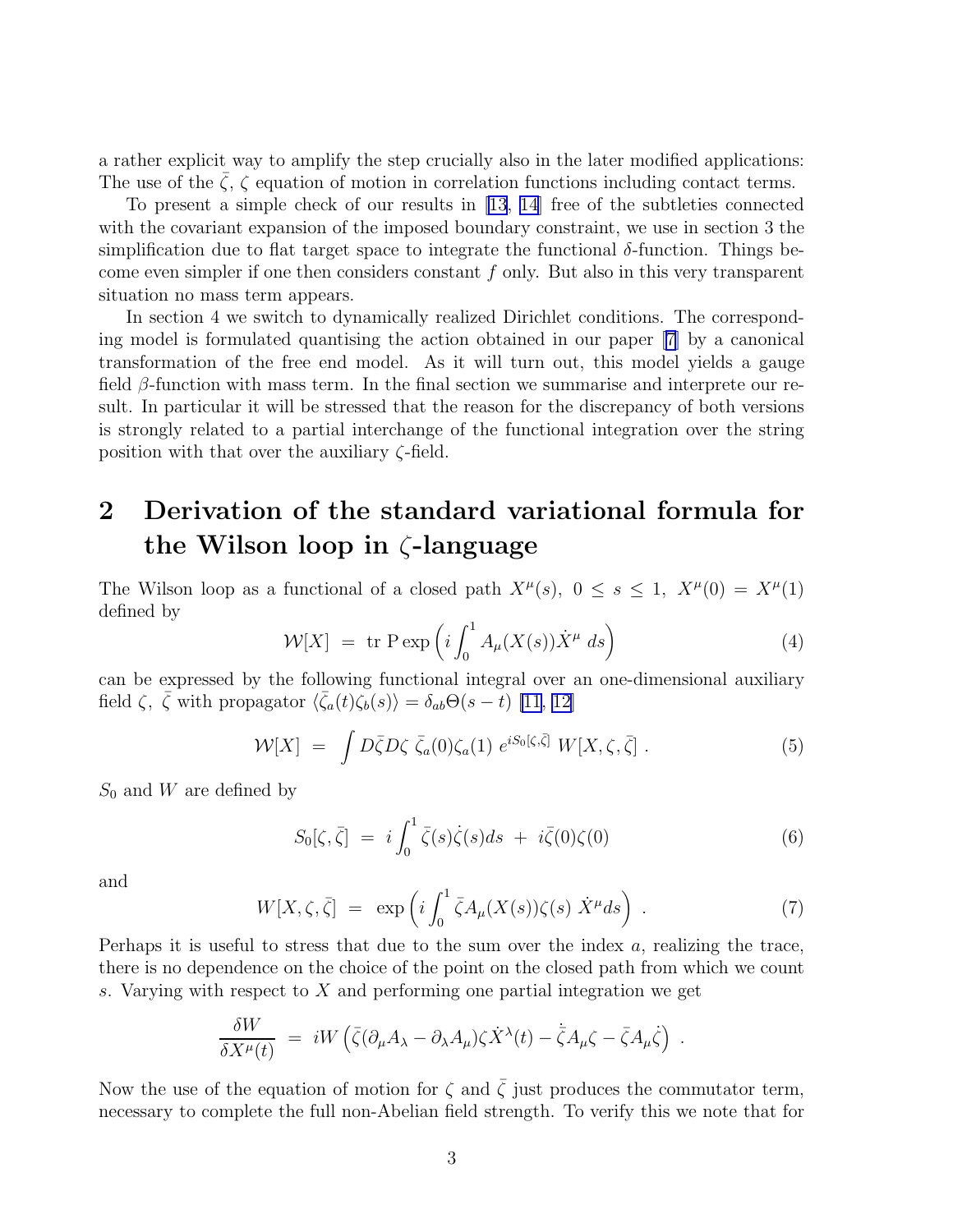a rather explicit way to amplify the step crucially also in the later modified applications: The use of the  $\zeta$ ,  $\zeta$  equation of motion in correlation functions including contact terms.

To present a simple check of our results in [\[13](#page-13-0), [14\]](#page-13-0) free of the subtleties connected with the covariant expansion of the imposed boundary constraint, we use in section 3 the simplification due to flat target space to integrate the functional  $\delta$ -function. Things become even simpler if one then considers constant  $f$  only. But also in this very transparent situation no mass term appears.

In section 4 we switch to dynamically realized Dirichlet conditions. The corresponding model is formulated quantising the action obtained in our paper [\[7](#page-12-0)] by a canonical transformation of the free end model. As it will turn out, this model yields a gauge field  $\beta$ -function with mass term. In the final section we summarise and interprete our result. In particular it will be stressed that the reason for the discrepancy of both versions is strongly related to a partial interchange of the functional integration over the string position with that over the auxiliary  $\zeta$ -field.

## 2 Derivation of the standard variational formula for the Wilson loop in ζ-language

The Wilson loop as a functional of a closed path  $X^{\mu}(s)$ ,  $0 \leq s \leq 1$ ,  $X^{\mu}(0) = X^{\mu}(1)$ defined by

$$
\mathcal{W}[X] = \text{tr} \operatorname{P} \exp\left(i \int_0^1 A_\mu(X(s)) \dot{X}^\mu ds\right) \tag{4}
$$

can be expressed by the following functional integral over an one-dimensional auxiliary field  $\zeta$ ,  $\bar{\zeta}$  with propagator  $\langle \bar{\zeta}_a(t)\zeta_b(s)\rangle = \delta_{ab}\Theta(s-t)$  [\[11](#page-12-0), [12\]](#page-13-0)

$$
\mathcal{W}[X] = \int D\bar{\zeta}D\zeta \bar{\zeta}_a(0)\zeta_a(1) e^{iS_0[\zeta,\bar{\zeta}]} W[X,\zeta,\bar{\zeta}]. \tag{5}
$$

 $S_0$  and W are defined by

$$
S_0[\zeta, \bar{\zeta}] = i \int_0^1 \bar{\zeta}(s)\dot{\zeta}(s)ds + i\bar{\zeta}(0)\zeta(0) \tag{6}
$$

and

$$
W[X,\zeta,\bar{\zeta}] = \exp\left(i\int_0^1 \bar{\zeta}A_\mu(X(s))\zeta(s)\dot{X}^\mu ds\right) . \tag{7}
$$

Perhaps it is useful to stress that due to the sum over the index  $a$ , realizing the trace, there is no dependence on the choice of the point on the closed path from which we count s. Varying with respect to X and performing one partial integration we get

$$
\frac{\delta W}{\delta X^{\mu}(t)} = iW \left( \bar{\zeta} (\partial_{\mu} A_{\lambda} - \partial_{\lambda} A_{\mu}) \zeta \dot{X}^{\lambda}(t) - \dot{\bar{\zeta}} A_{\mu} \zeta - \bar{\zeta} A_{\mu} \dot{\zeta} \right) .
$$

Now the use of the equation of motion for  $\zeta$  and  $\overline{\zeta}$  just produces the commutator term, necessary to complete the full non-Abelian field strength. To verify this we note that for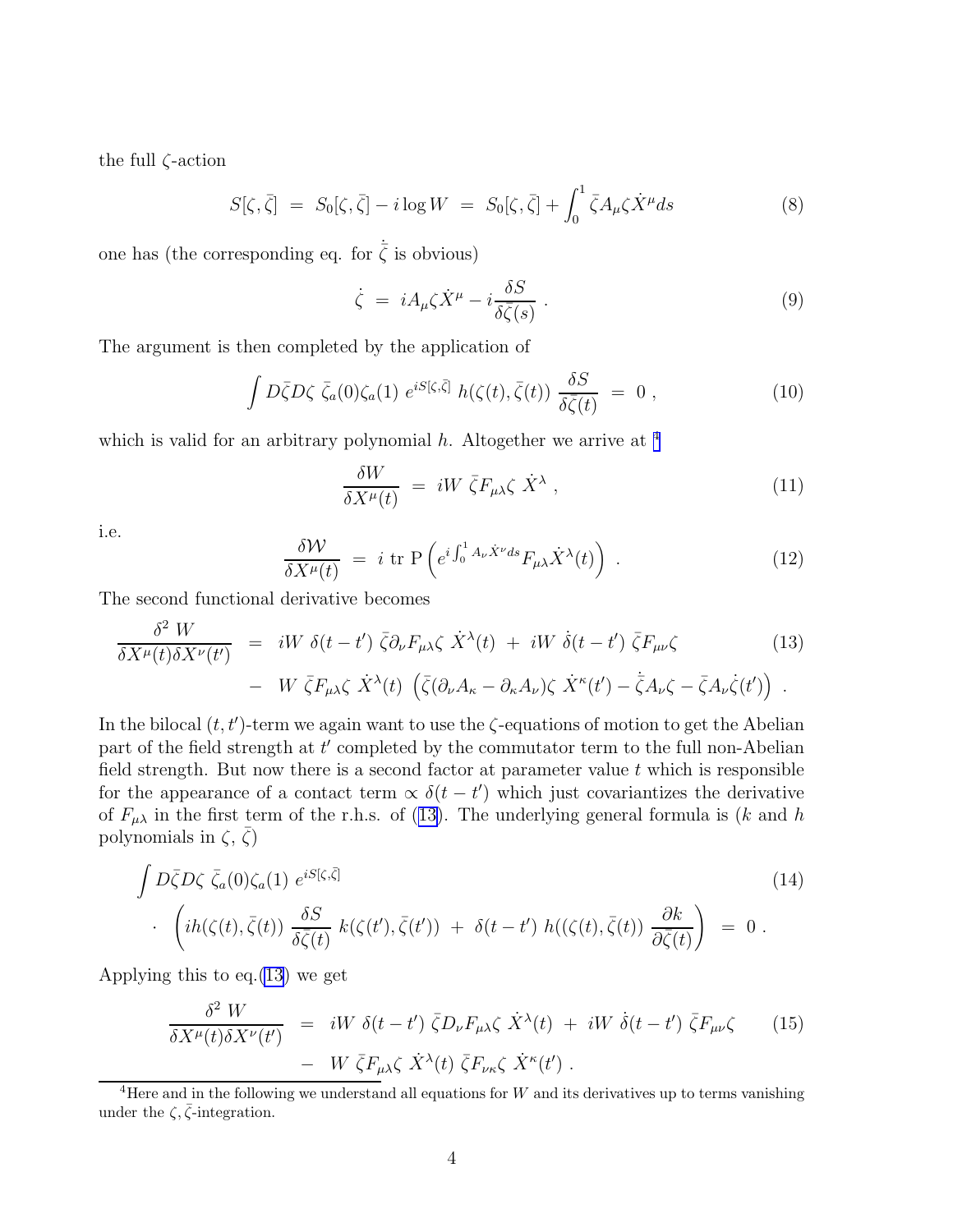<span id="page-4-0"></span>the full ζ-action

$$
S[\zeta, \bar{\zeta}] = S_0[\zeta, \bar{\zeta}] - i \log W = S_0[\zeta, \bar{\zeta}] + \int_0^1 \bar{\zeta} A_\mu \zeta \dot{X}^\mu ds \tag{8}
$$

one has (the corresponding eq. for  $\dot{\bar{\zeta}}$  is obvious)

$$
\dot{\zeta} = iA_{\mu}\zeta \dot{X}^{\mu} - i\frac{\delta S}{\delta \bar{\zeta}(s)} . \tag{9}
$$

The argument is then completed by the application of

$$
\int D\bar{\zeta}D\zeta \,\,\bar{\zeta}_a(0)\zeta_a(1) \,\, e^{iS[\zeta,\bar{\zeta}]} \,\, h(\zeta(t),\bar{\zeta}(t)) \,\frac{\delta S}{\delta\bar{\zeta}(t)} = 0 \,\,, \tag{10}
$$

which is valid for an arbitrary polynomial  $h$ . Altogether we arrive at <sup>4</sup>

$$
\frac{\delta W}{\delta X^{\mu}(t)} = iW \bar{\zeta} F_{\mu\lambda} \zeta \dot{X}^{\lambda} , \qquad (11)
$$

i.e.

$$
\frac{\delta \mathcal{W}}{\delta X^{\mu}(t)} = i \operatorname{tr} P\left(e^{i \int_0^1 A_{\nu} \dot{X}^{\nu} ds} F_{\mu\lambda} \dot{X}^{\lambda}(t)\right) . \tag{12}
$$

The second functional derivative becomes

$$
\frac{\delta^2 W}{\delta X^{\mu}(t)\delta X^{\nu}(t')} = iW \delta(t-t') \bar{\zeta} \partial_{\nu} F_{\mu\lambda} \zeta \dot{X}^{\lambda}(t) + iW \dot{\delta}(t-t') \bar{\zeta} F_{\mu\nu} \zeta
$$
\n
$$
- W \bar{\zeta} F_{\mu\lambda} \zeta \dot{X}^{\lambda}(t) \left( \bar{\zeta} (\partial_{\nu} A_{\kappa} - \partial_{\kappa} A_{\nu}) \zeta \dot{X}^{\kappa}(t') - \bar{\zeta} A_{\nu} \zeta - \bar{\zeta} A_{\nu} \zeta(t') \right).
$$
\n(13)

In the bilocal  $(t, t')$ -term we again want to use the  $\zeta$ -equations of motion to get the Abelian part of the field strength at t' completed by the commutator term to the full non-Abelian field strength. But now there is a second factor at parameter value  $t$  which is responsible for the appearance of a contact term  $\propto \delta(t-t')$  which just covariantizes the derivative of  $F_{\mu\lambda}$  in the first term of the r.h.s. of (13). The underlying general formula is (k and h polynomials in  $\zeta$ ,  $\bar{\zeta}$ )

$$
\int D\bar{\zeta}D\zeta \bar{\zeta}_a(0)\zeta_a(1) e^{iS[\zeta,\bar{\zeta}]}\n+ \left\{ i h(\zeta(t),\bar{\zeta}(t)) \frac{\delta S}{\delta \bar{\zeta}(t)} k(\zeta(t'),\bar{\zeta}(t')) + \delta(t-t') h((\zeta(t),\bar{\zeta}(t)) \frac{\partial k}{\partial \bar{\zeta}(t)}) = 0.
$$
\n(14)

Applying this to eq.(13) we get

$$
\frac{\delta^2 W}{\delta X^{\mu}(t)\delta X^{\nu}(t')} = iW \delta(t-t') \bar{\zeta} D_{\nu} F_{\mu\lambda} \zeta \dot{X}^{\lambda}(t) + iW \dot{\delta}(t-t') \bar{\zeta} F_{\mu\nu} \zeta \qquad (15) - W \bar{\zeta} F_{\mu\lambda} \zeta \dot{X}^{\lambda}(t) \bar{\zeta} F_{\nu\kappa} \zeta \dot{X}^{\kappa}(t').
$$

 $4$ Here and in the following we understand all equations for W and its derivatives up to terms vanishing under the  $\zeta$ ,  $\bar{\zeta}$ -integration.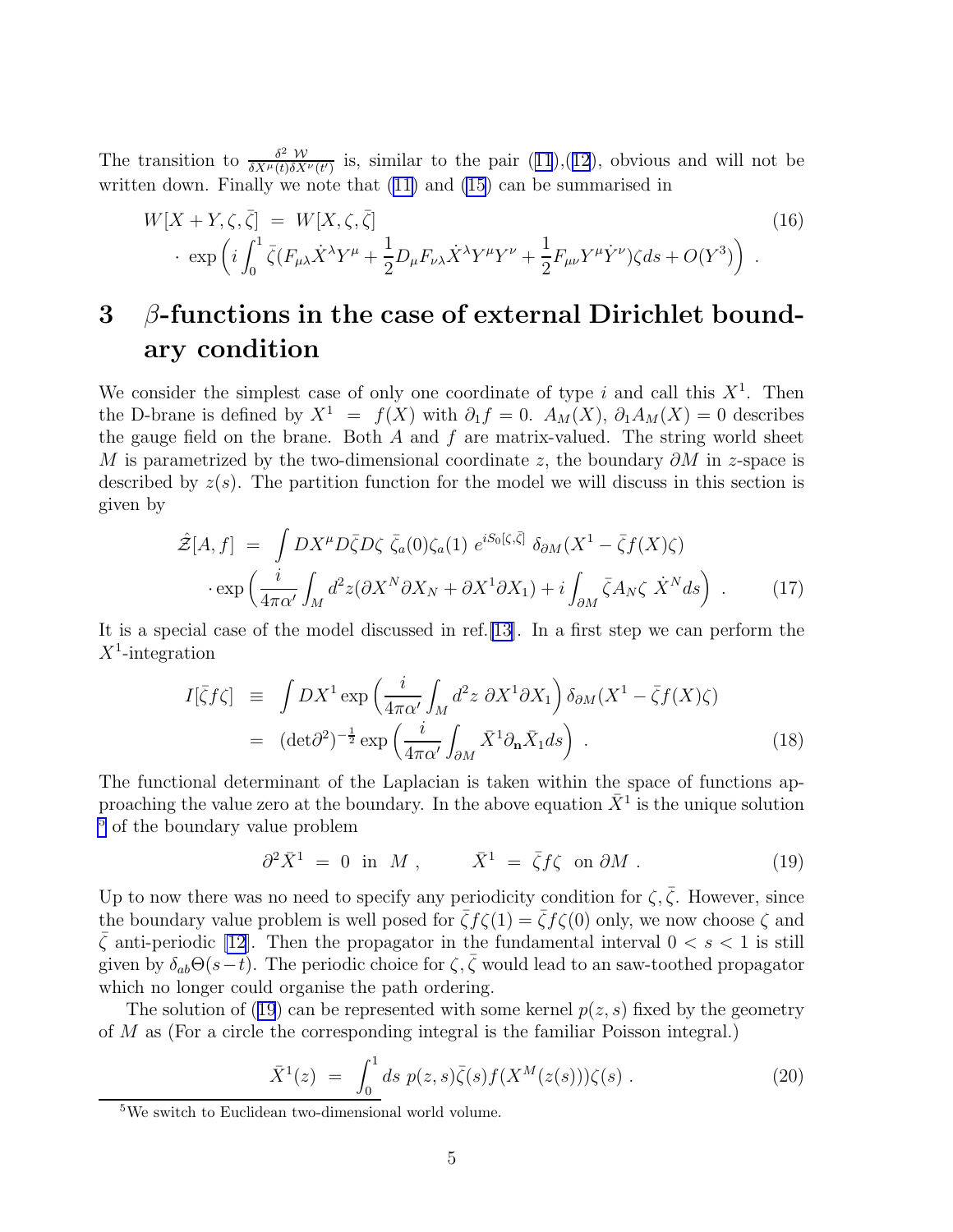<span id="page-5-0"></span>The transition to  $\frac{\delta^2 W}{\delta X^{\mu}(t) \delta X}$  $\frac{\delta^2 W}{\delta X^{\mu}(t)\delta X^{\nu}(t')}$  $\frac{\delta^2 W}{\delta X^{\mu}(t)\delta X^{\nu}(t')}$  $\frac{\delta^2 W}{\delta X^{\mu}(t)\delta X^{\nu}(t')}$  is, similar to the pair  $(11),(12)$  $(11),(12)$  $(11),(12)$  $(11),(12)$  $(11),(12)$ , obvious and will not be written down. Finally we note that([11\)](#page-4-0) and [\(15](#page-4-0)) can be summarised in

$$
W[X+Y,\zeta,\bar{\zeta}] = W[X,\zeta,\bar{\zeta}]
$$
\n
$$
\cdot \exp\left(i\int_0^1 \bar{\zeta}(F_{\mu\lambda}\dot{X}^\lambda Y^\mu + \frac{1}{2}D_\mu F_{\nu\lambda}\dot{X}^\lambda Y^\mu Y^\nu + \frac{1}{2}F_{\mu\nu}Y^\mu \dot{Y}^\nu)\zeta ds + O(Y^3)\right).
$$
\n(16)

## $3\beta$ -functions in the case of external Dirichlet boundary condition

We consider the simplest case of only one coordinate of type i and call this  $X^1$ . Then the D-brane is defined by  $X^1 = f(X)$  with  $\partial_1 f = 0$ .  $A_M(X)$ ,  $\partial_1 A_M(X) = 0$  describes the gauge field on the brane. Both  $A$  and  $f$  are matrix-valued. The string world sheet M is parametrized by the two-dimensional coordinate z, the boundary  $\partial M$  in z-space is described by  $z(s)$ . The partition function for the model we will discuss in this section is given by

$$
\hat{\mathcal{Z}}[A,f] = \int DX^{\mu}D\bar{\zeta}D\zeta \bar{\zeta}_a(0)\zeta_a(1) e^{iS_0[\zeta,\bar{\zeta}]} \delta_{\partial M}(X^1 - \bar{\zeta}f(X)\zeta)
$$

$$
\cdot \exp\left(\frac{i}{4\pi\alpha'}\int_M d^2z(\partial X^N\partial X_N + \partial X^1\partial X_1) + i\int_{\partial M} \bar{\zeta}A_N\zeta \dot{X}^N ds\right) . \tag{17}
$$

It is a special case of the model discussed in ref.[\[13\]](#page-13-0). In a first step we can perform the  $X^1$ -integration

$$
I[\bar{\zeta}f\zeta] \equiv \int DX^1 \exp\left(\frac{i}{4\pi\alpha'} \int_M d^2z \ \partial X^1 \partial X_1\right) \delta_{\partial M}(X^1 - \bar{\zeta}f(X)\zeta)
$$
  

$$
= (\det \partial^2)^{-\frac{1}{2}} \exp\left(\frac{i}{4\pi\alpha'} \int_{\partial M} \bar{X}^1 \partial_{\mathbf{n}} \bar{X}_1 ds\right).
$$
 (18)

The functional determinant of the Laplacian is taken within the space of functions approaching the value zero at the boundary. In the above equation  $\bar{X}^1$  is the unique solution  $\frac{5}{5}$  of the boundary value problem

$$
\partial^2 \bar{X}^1 = 0 \text{ in } M , \qquad \bar{X}^1 = \bar{\zeta} f \zeta \text{ on } \partial M . \qquad (19)
$$

Up to now there was no need to specify any periodicity condition for  $\zeta, \bar{\zeta}$ . However, since the boundary value problem is well posed for  $\bar{\zeta} f(\zeta(1)) = \bar{\zeta} f(\zeta(0))$  only, we now choose  $\zeta$  and  $\bar{\zeta}$  anti-periodic [\[12](#page-13-0)]. Then the propagator in the fundamental interval  $0 < s < 1$  is still given by  $\delta_{ab}\Theta(s-t)$ . The periodic choice for  $\zeta$ ,  $\bar{\zeta}$  would lead to an saw-toothed propagator which no longer could organise the path ordering.

The solution of (19) can be represented with some kernel  $p(z, s)$  fixed by the geometry of M as (For a circle the corresponding integral is the familiar Poisson integral.)

$$
\bar{X}^{1}(z) = \int_{0}^{1} ds \ p(z, s) \bar{\zeta}(s) f(X^{M}(z(s))) \zeta(s) . \qquad (20)
$$

<sup>5</sup>We switch to Euclidean two-dimensional world volume.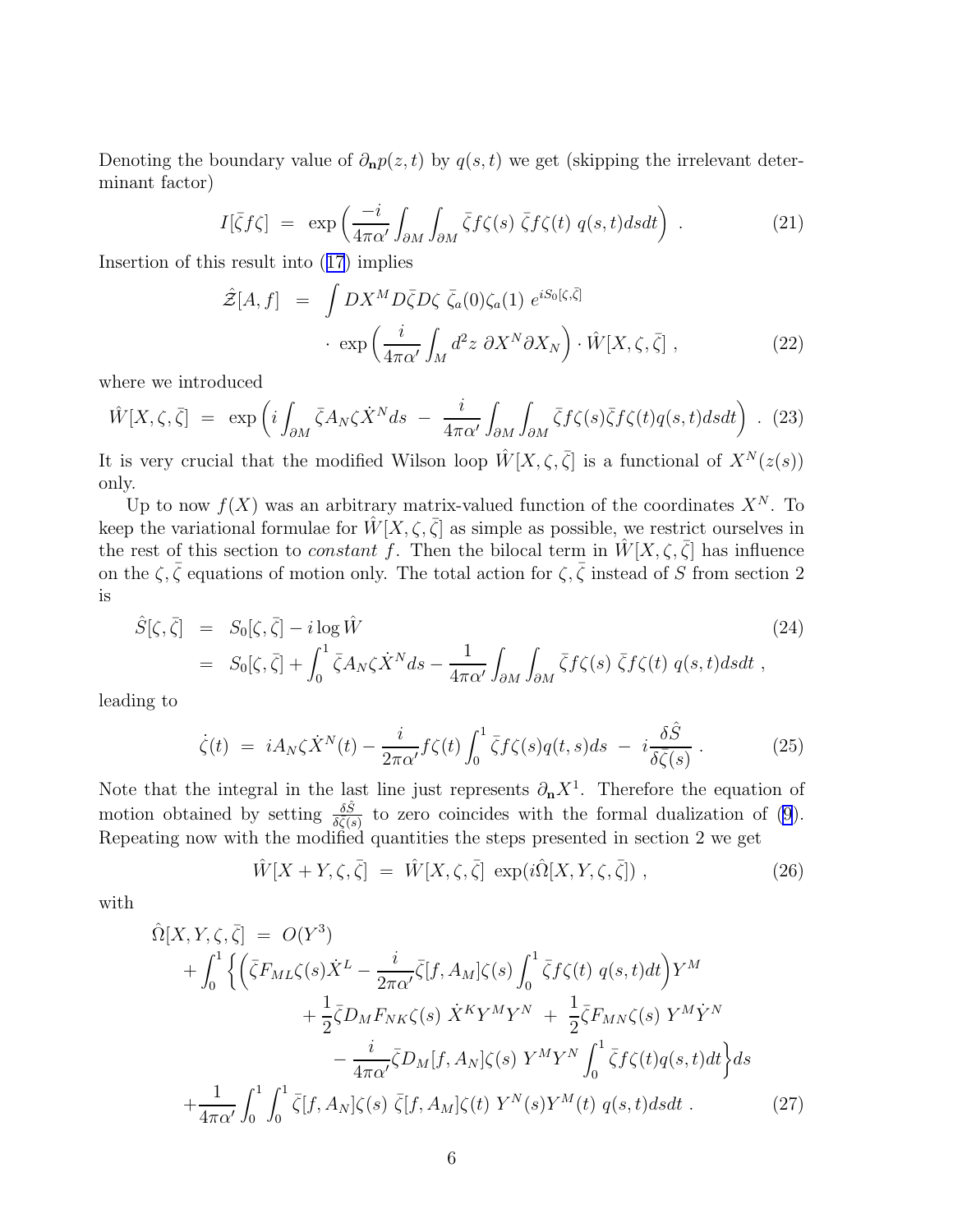<span id="page-6-0"></span>Denoting the boundary value of  $\partial_{\bf n}p(z,t)$  by  $q(s,t)$  we get (skipping the irrelevant determinant factor)

$$
I[\bar{\zeta}f\zeta] = \exp\left(\frac{-i}{4\pi\alpha'}\int_{\partial M}\int_{\partial M}\bar{\zeta}f\zeta(s)\,\bar{\zeta}f\zeta(t)\,q(s,t)dsdt\right) \,. \tag{21}
$$

Insertion of this result into([17](#page-5-0)) implies

$$
\hat{\mathcal{Z}}[A,f] = \int DX^M D\bar{\zeta}D\zeta \,\bar{\zeta}_a(0)\zeta_a(1) \, e^{iS_0[\zeta,\bar{\zeta}]}\n\cdot \exp\left(\frac{i}{4\pi\alpha'}\int_M d^2z \, \partial X^N \partial X_N\right) \cdot \hat{W}[X,\zeta,\bar{\zeta}] \,,
$$
\n(22)

where we introduced

$$
\hat{W}[X,\zeta,\bar{\zeta}] = \exp\left(i\int_{\partial M} \bar{\zeta} A_N \zeta \dot{X}^N ds - \frac{i}{4\pi\alpha'} \int_{\partial M} \int_{\partial M} \bar{\zeta} f \zeta(s) \bar{\zeta} f \zeta(t) q(s,t) ds dt\right) . (23)
$$

It is very crucial that the modified Wilson loop  $\hat{W}[X,\zeta,\bar{\zeta}]$  is a functional of  $X^N(z(s))$ only.

Up to now  $f(X)$  was an arbitrary matrix-valued function of the coordinates  $X^N$ . To keep the variational formulae for  $\hat{W}[X,\zeta,\bar{\zeta}]$  as simple as possible, we restrict ourselves in the rest of this section to *constant* f. Then the bilocal term in  $\hat{W}[X,\zeta,\bar{\zeta}]$  has influence on the  $\zeta, \bar{\zeta}$  equations of motion only. The total action for  $\zeta, \bar{\zeta}$  instead of S from section 2 is

$$
\hat{S}[\zeta, \bar{\zeta}] = S_0[\zeta, \bar{\zeta}] - i \log \hat{W}
$$
\n
$$
= S_0[\zeta, \bar{\zeta}] + \int_0^1 \bar{\zeta} A_N \zeta \dot{X}^N ds - \frac{1}{4\pi \alpha'} \int_{\partial M} \int_{\partial M} \bar{\zeta} f \zeta(s) \bar{\zeta} f \zeta(t) q(s, t) ds dt ,
$$
\n(24)

leading to

$$
\dot{\zeta}(t) = iA_N \zeta \dot{X}^N(t) - \frac{i}{2\pi\alpha'} f\zeta(t) \int_0^1 \bar{\zeta} f\zeta(s) q(t,s) ds - i\frac{\delta \hat{S}}{\delta \bar{\zeta}(s)} . \tag{25}
$$

Note that the integral in the last line just represents  $\partial_{\bf n} X^1$ . Therefore the equation of motion obtained by setting  $\frac{\delta \hat{S}}{\delta \zeta(s)}$  to zero coincides with the formal dualization of [\(9](#page-4-0)). Repeating now with the modified quantities the steps presented in section 2 we get

$$
\hat{W}[X+Y,\zeta,\bar{\zeta}] = \hat{W}[X,\zeta,\bar{\zeta}] \, \exp(i\hat{\Omega}[X,Y,\zeta,\bar{\zeta}]) \,, \tag{26}
$$

with

$$
\hat{\Omega}[X, Y, \zeta, \bar{\zeta}] = O(Y^3) \n+ \int_0^1 \left\{ \left( \bar{\zeta} F_{ML} \zeta(s) \dot{X}^L - \frac{i}{2\pi \alpha'} \bar{\zeta} [f, A_M] \zeta(s) \int_0^1 \bar{\zeta} f \zeta(t) q(s, t) dt \right) Y^M \right. \n+ \frac{1}{2} \bar{\zeta} D_M F_{NK} \zeta(s) \dot{X}^K Y^M Y^N + \frac{1}{2} \bar{\zeta} F_{MN} \zeta(s) Y^M \dot{Y}^N \right. \n- \frac{i}{4\pi \alpha'} \bar{\zeta} D_M [f, A_N] \zeta(s) Y^M Y^N \int_0^1 \bar{\zeta} f \zeta(t) q(s, t) dt \right\} ds \n+ \frac{1}{4\pi \alpha'} \int_0^1 \int_0^1 \bar{\zeta} [f, A_N] \zeta(s) \bar{\zeta} [f, A_M] \zeta(t) Y^N(s) Y^M(t) q(s, t) ds dt . \tag{27}
$$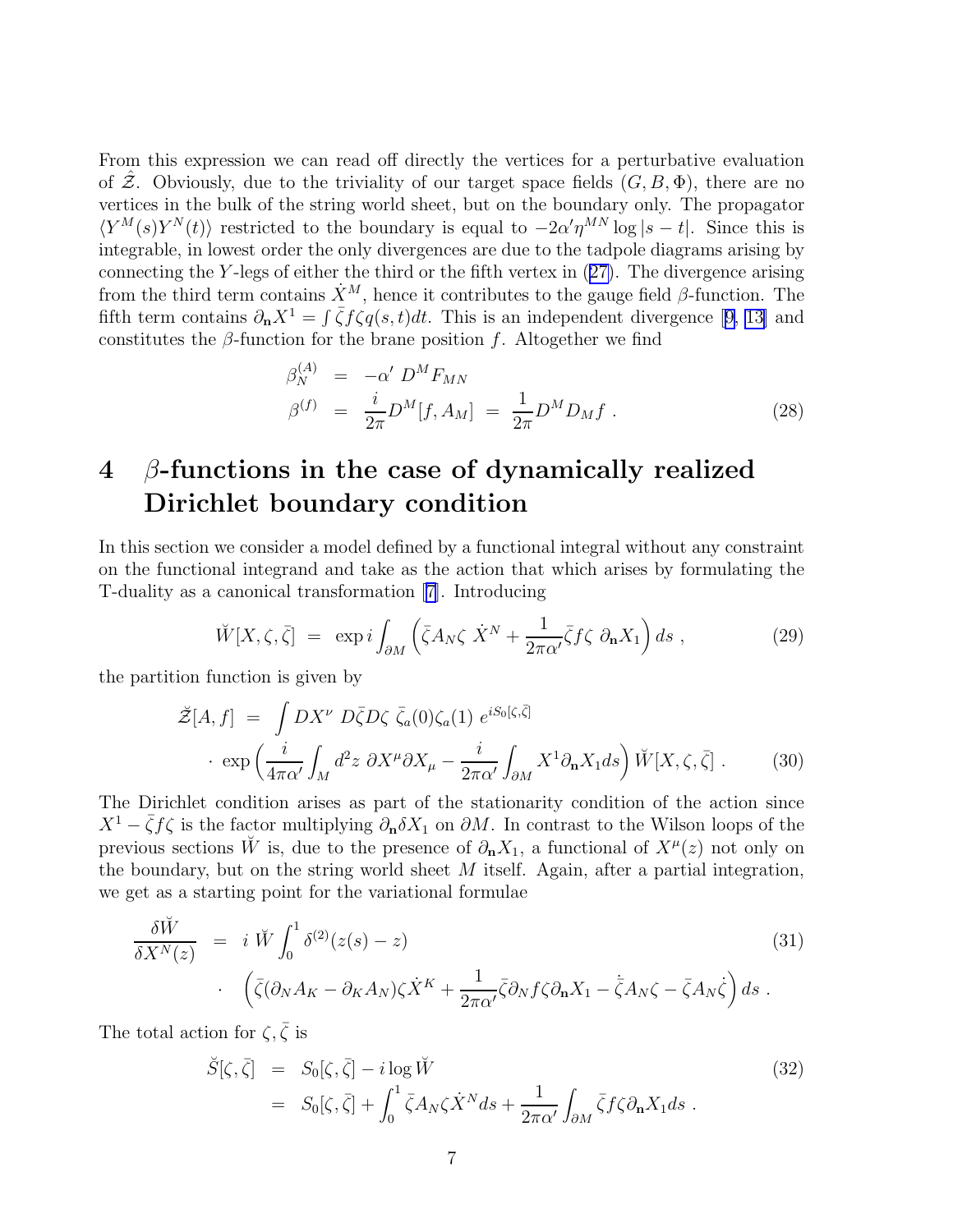<span id="page-7-0"></span>From this expression we can read off directly the vertices for a perturbative evaluation of Z. Obviously, due to the triviality of our target space fields  $(G, B, \Phi)$ , there are no vertices in the bulk of the string world sheet, but on the boundary only. The propagator  $\langle Y^M(s)Y^N(t)\rangle$  restricted to the boundary is equal to  $-2\alpha'\eta^{MN}\log|s-t|$ . Since this is integrable, in lowest order the only divergences are due to the tadpole diagrams arising by connecting the Y -legs of either the third or the fifth vertex in([27\)](#page-6-0). The divergence arising from the third term contains  $\dot{X}^M$ , hence it contributes to the gauge field  $\beta$ -function. The fifthterm contains  $\partial_{\bf n} X^1 = \int \bar{\zeta} f \zeta q(s,t) dt$ . This is an independent divergence [[9,](#page-12-0) [13\]](#page-13-0) and constitutes the  $\beta$ -function for the brane position f. Altogether we find

$$
\beta_N^{(A)} = -\alpha' D^M F_{MN} \n\beta^{(f)} = \frac{i}{2\pi} D^M [f, A_M] = \frac{1}{2\pi} D^M D_M f .
$$
\n(28)

## $4\quad\beta$ -functions in the case of dynamically realized Dirichlet boundary condition

In this section we consider a model defined by a functional integral without any constraint on the functional integrand and take as the action that which arises by formulating the T-duality as a canonical transformation[[7\]](#page-12-0). Introducing

$$
\breve{W}[X,\zeta,\bar{\zeta}] = \exp i \int_{\partial M} \left( \bar{\zeta} A_N \zeta \dot{X}^N + \frac{1}{2\pi \alpha'} \bar{\zeta} f \zeta \partial_{\mathbf{n}} X_1 \right) ds , \qquad (29)
$$

the partition function is given by

$$
\tilde{\mathcal{Z}}[A,f] = \int DX^{\nu} D\bar{\zeta}D\zeta \bar{\zeta}_a(0)\zeta_a(1) e^{iS_0[\zeta,\bar{\zeta}]}\n\cdot \exp\left(\frac{i}{4\pi\alpha'}\int_M d^2z \partial X^{\mu}\partial X_{\mu} - \frac{i}{2\pi\alpha'}\int_{\partial M} X^1 \partial_{\mathbf{n}}X_1 ds\right) W[X,\zeta,\bar{\zeta}]\n\qquad (30)
$$

The Dirichlet condition arises as part of the stationarity condition of the action since  $X^1 - \bar{\zeta} f \zeta$  is the factor multiplying  $\partial_{\bf n} \delta X_1$  on  $\partial M$ . In contrast to the Wilson loops of the previous sections W<sup> $\dot{W}$ </sup> is, due to the presence of  $\partial_{\mathbf{n}}X_1$ , a functional of  $X^{\mu}(z)$  not only on the boundary, but on the string world sheet  $M$  itself. Again, after a partial integration, we get as a starting point for the variational formulae

$$
\frac{\delta \breve{W}}{\delta X^{N}(z)} = i \breve{W} \int_{0}^{1} \delta^{(2)}(z(s) - z) \n\cdot \left( \bar{\zeta} (\partial_{N} A_{K} - \partial_{K} A_{N}) \zeta \dot{X}^{K} + \frac{1}{2\pi \alpha'} \bar{\zeta} \partial_{N} f \zeta \partial_{\mathbf{n}} X_{1} - \bar{\zeta} A_{N} \zeta - \bar{\zeta} A_{N} \dot{\zeta} \right) ds .
$$
\n(31)

The total action for  $\zeta, \bar{\zeta}$  is

$$
\check{S}[\zeta, \bar{\zeta}] = S_0[\zeta, \bar{\zeta}] - i \log \check{W}
$$
\n
$$
= S_0[\zeta, \bar{\zeta}] + \int_0^1 \bar{\zeta} A_N \zeta \dot{X}^N ds + \frac{1}{2\pi \alpha'} \int_{\partial M} \bar{\zeta} f \zeta \partial_{\mathbf{n}} X_1 ds .
$$
\n(32)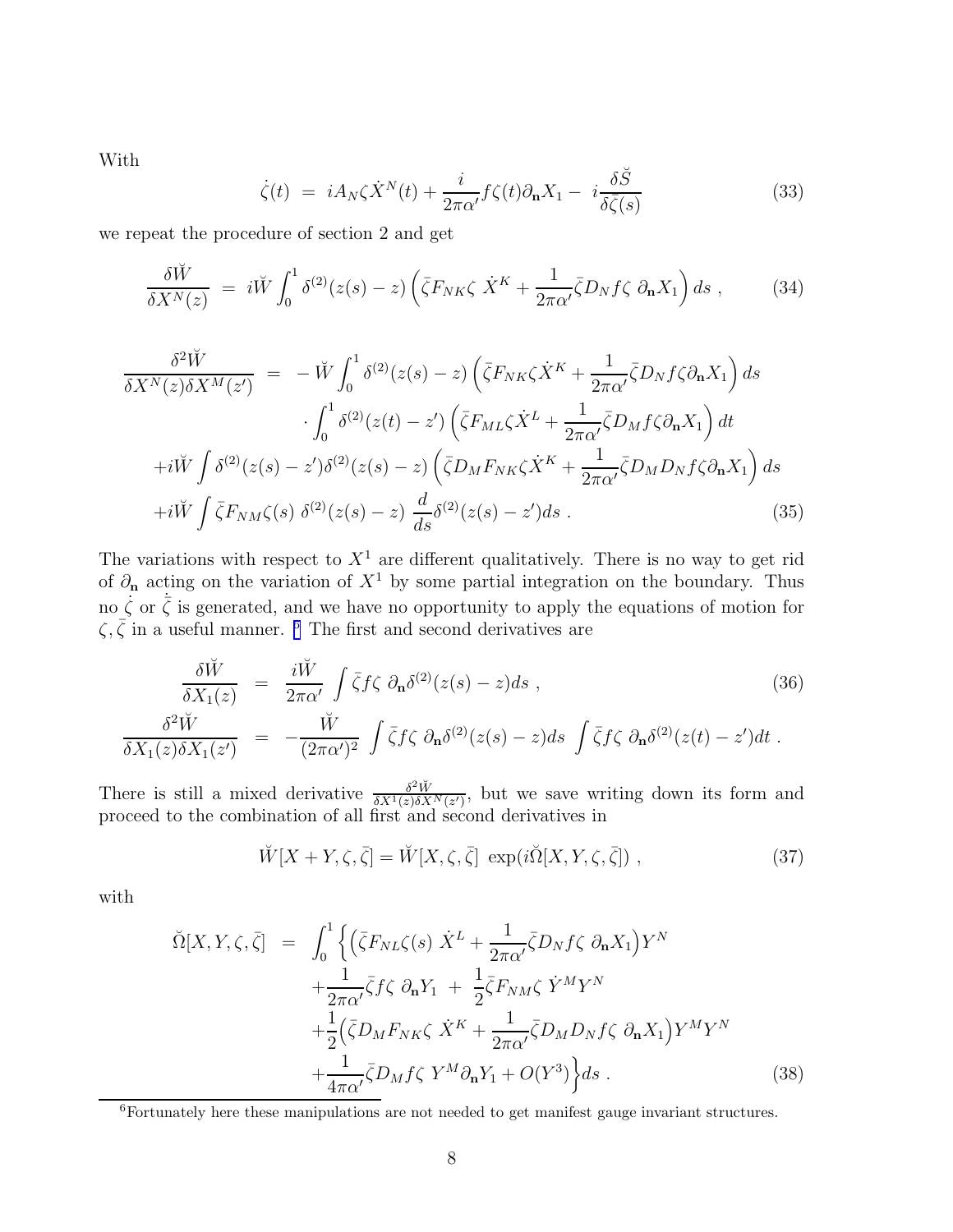<span id="page-8-0"></span>With

$$
\dot{\zeta}(t) = iA_N \zeta \dot{X}^N(t) + \frac{i}{2\pi\alpha'} f\zeta(t) \partial_{\mathbf{n}} X_1 - i \frac{\delta \breve{S}}{\delta \bar{\zeta}(s)} \tag{33}
$$

we repeat the procedure of section 2 and get

$$
\frac{\delta \breve{W}}{\delta X^N(z)} = i \breve{W} \int_0^1 \delta^{(2)}(z(s) - z) \left( \bar{\zeta} F_{NK} \zeta \dot{X}^K + \frac{1}{2\pi \alpha'} \bar{\zeta} D_N f \zeta \partial_{\mathbf{n}} X_1 \right) ds , \qquad (34)
$$

$$
\frac{\delta^2 \breve{W}}{\delta X^N(z)\delta X^M(z')} = -\breve{W} \int_0^1 \delta^{(2)}(z(s) - z) \left(\bar{\zeta} F_{NK}\zeta \dot{X}^K + \frac{1}{2\pi\alpha'} \bar{\zeta} D_N f \zeta \partial_{\mathbf{n}} X_1\right) ds
$$

$$
\cdot \int_0^1 \delta^{(2)}(z(t) - z') \left(\bar{\zeta} F_{ML}\zeta \dot{X}^L + \frac{1}{2\pi\alpha'} \bar{\zeta} D_M f \zeta \partial_{\mathbf{n}} X_1\right) dt
$$

$$
+i\breve{W} \int \delta^{(2)}(z(s) - z') \delta^{(2)}(z(s) - z) \left(\bar{\zeta} D_M F_{NK}\zeta \dot{X}^K + \frac{1}{2\pi\alpha'} \bar{\zeta} D_M D_N f \zeta \partial_{\mathbf{n}} X_1\right) ds
$$

$$
+i\breve{W} \int \bar{\zeta} F_{NM}\zeta(s) \delta^{(2)}(z(s) - z) \frac{d}{ds} \delta^{(2)}(z(s) - z') ds . \tag{35}
$$

The variations with respect to  $X<sup>1</sup>$  are different qualitatively. There is no way to get rid of  $\partial_{\bf n}$  acting on the variation of  $X^1$  by some partial integration on the boundary. Thus no  $\dot{\zeta}$  or  $\dot{\zeta}$  is generated, and we have no opportunity to apply the equations of motion for  $\zeta, \bar{\zeta}$  in a useful manner. <sup>6</sup> The first and second derivatives are

$$
\frac{\delta \breve{W}}{\delta X_1(z)} = \frac{i \breve{W}}{2\pi \alpha'} \int \bar{\zeta} f \zeta \, \partial_{\mathbf{n}} \delta^{(2)}(z(s) - z) ds ,
$$
\n
$$
\frac{\delta^2 \breve{W}}{\delta X_1(z) \delta X_1(z')} = -\frac{\breve{W}}{(2\pi \alpha')^2} \int \bar{\zeta} f \zeta \, \partial_{\mathbf{n}} \delta^{(2)}(z(s) - z) ds \int \bar{\zeta} f \zeta \, \partial_{\mathbf{n}} \delta^{(2)}(z(t) - z') dt .
$$
\n(36)

There is still a mixed derivative  $\frac{\delta^2 \breve{W}}{\delta X^1(z) \delta X}$  $\frac{\partial^2 W}{\partial X^1(z)\partial X^N(z')}$ , but we save writing down its form and proceed to the combination of all first and second derivatives in

$$
\breve{W}[X+Y,\zeta,\bar{\zeta}] = \breve{W}[X,\zeta,\bar{\zeta}] \, \exp(i\breve{\Omega}[X,Y,\zeta,\bar{\zeta}]) \;, \tag{37}
$$

with

$$
\tilde{\Omega}[X, Y, \zeta, \bar{\zeta}] = \int_0^1 \left\{ \left( \bar{\zeta} F_{NL} \zeta(s) \dot{X}^L + \frac{1}{2\pi \alpha'} \bar{\zeta} D_N f \zeta \partial_{\mathbf{n}} X_1 \right) Y^N \right. \\ \left. + \frac{1}{2\pi \alpha'} \bar{\zeta} f \zeta \partial_{\mathbf{n}} Y_1 + \frac{1}{2} \bar{\zeta} F_{NM} \zeta \dot{Y}^M Y^N \right. \\ \left. + \frac{1}{2} \left( \bar{\zeta} D_M F_{NK} \zeta \dot{X}^K + \frac{1}{2\pi \alpha'} \bar{\zeta} D_M D_N f \zeta \partial_{\mathbf{n}} X_1 \right) Y^M Y^N \right. \\ \left. + \frac{1}{4\pi \alpha'} \bar{\zeta} D_M f \zeta Y^M \partial_{\mathbf{n}} Y_1 + O(Y^3) \right\} ds \,. \tag{38}
$$

<sup>6</sup>Fortunately here these manipulations are not needed to get manifest gauge invariant structures.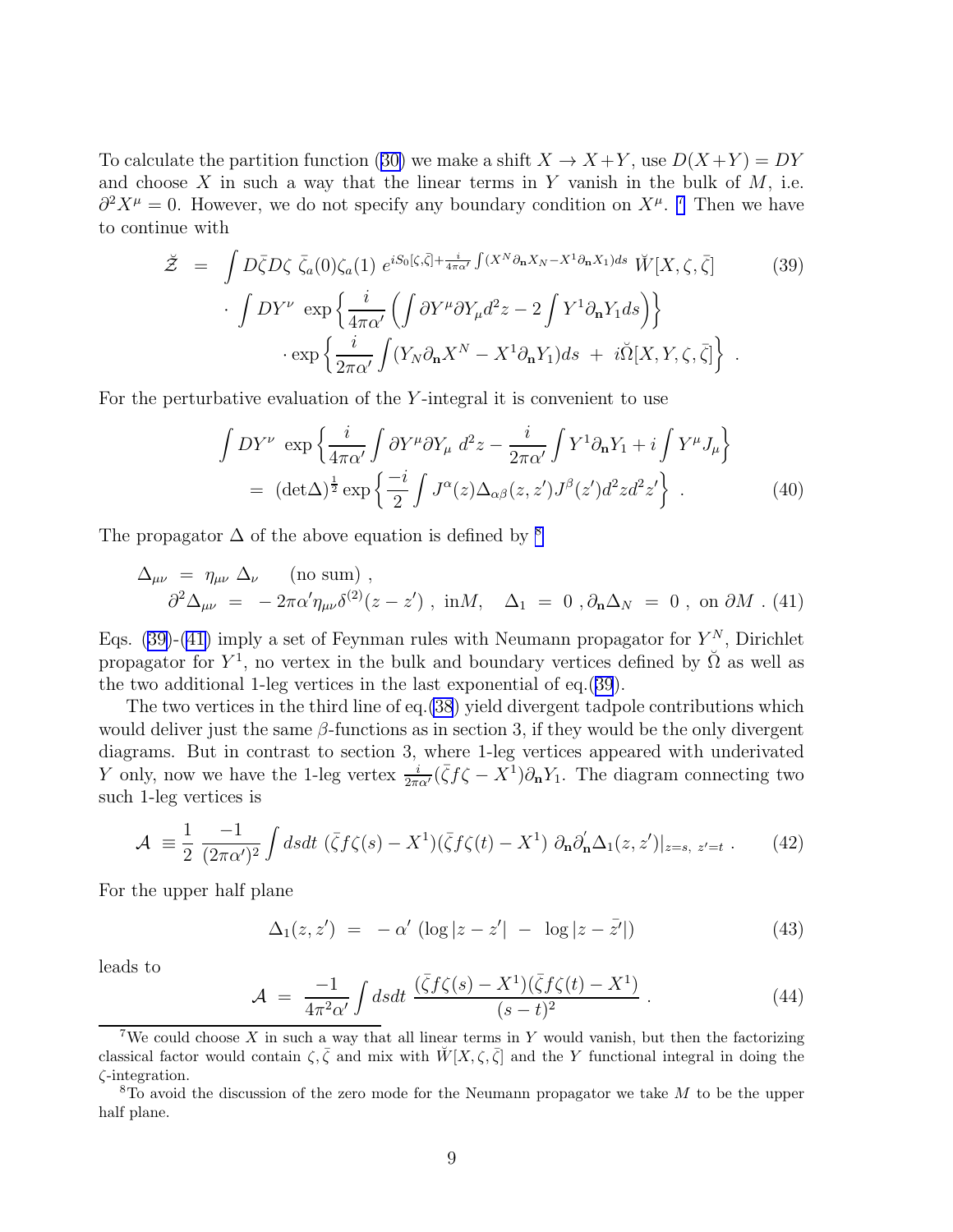<span id="page-9-0"></span>Tocalculate the partition function ([30\)](#page-7-0) we make a shift  $X \to X + Y$ , use  $D(X + Y) = DY$ and choose  $X$  in such a way that the linear terms in Y vanish in the bulk of  $M$ , i.e.  $\partial^2 X^{\mu} = 0$ . However, we do not specify any boundary condition on  $X^{\mu}$ . <sup>7</sup> Then we have to continue with

$$
\check{Z} = \int D\bar{\zeta}D\zeta \bar{\zeta}_a(0)\zeta_a(1) e^{iS_0[\zeta,\bar{\zeta}]+\frac{i}{4\pi\alpha'}} \int (X^N \partial_{\mathbf{n}} X_N - X^1 \partial_{\mathbf{n}} X_1) ds} \check{W}[X,\zeta,\bar{\zeta}]
$$
(39)  

$$
\cdot \int DY^{\nu} \exp \left\{ \frac{i}{4\pi\alpha'} \left( \int \partial Y^{\mu} \partial Y_{\mu} d^2 z - 2 \int Y^1 \partial_{\mathbf{n}} Y_1 ds \right) \right\}
$$
  

$$
\cdot \exp \left\{ \frac{i}{2\pi\alpha'} \int (Y_N \partial_{\mathbf{n}} X^N - X^1 \partial_{\mathbf{n}} Y_1) ds + i\check{\Omega}[X,Y,\zeta,\bar{\zeta}] \right\}.
$$

For the perturbative evaluation of the Y -integral it is convenient to use

$$
\int DY^{\nu} \exp \left\{ \frac{i}{4\pi\alpha'} \int \partial Y^{\mu} \partial Y_{\mu} d^{2}z - \frac{i}{2\pi\alpha'} \int Y^{1} \partial_{\mathbf{n}} Y_{1} + i \int Y^{\mu} J_{\mu} \right\}
$$
  
=  $(\det \Delta)^{\frac{1}{2}} \exp \left\{ \frac{-i}{2} \int J^{\alpha}(z) \Delta_{\alpha\beta}(z, z') J^{\beta}(z') d^{2} z d^{2} z' \right\}.$  (40)

The propagator  $\Delta$  of the above equation is defined by <sup>8</sup>

$$
\Delta_{\mu\nu} = \eta_{\mu\nu} \Delta_{\nu} \quad \text{(no sum)},
$$
  

$$
\partial^2 \Delta_{\mu\nu} = -2\pi \alpha' \eta_{\mu\nu} \delta^{(2)}(z - z') , \text{ in } M, \quad \Delta_1 = 0 , \partial_{\mathbf{n}} \Delta_N = 0 , \text{ on } \partial M . (41)
$$

Eqs. (39)-(41) imply a set of Feynman rules with Neumann propagator for  $Y^N$ , Dirichlet propagator for  $Y^1$ , no vertex in the bulk and boundary vertices defined by  $\check{\Omega}$  as well as the two additional 1-leg vertices in the last exponential of eq.(39).

The two vertices in the third line of eq.[\(38](#page-8-0)) yield divergent tadpole contributions which would deliver just the same  $\beta$ -functions as in section 3, if they would be the only divergent diagrams. But in contrast to section 3, where 1-leg vertices appeared with underivated Y only, now we have the 1-leg vertex  $\frac{i}{2\pi\alpha'}(\bar{\zeta}f\zeta - X^{\bar{1}})\partial_{\bf n}Y_{\bar{1}}$ . The diagram connecting two such 1-leg vertices is

$$
\mathcal{A} \equiv \frac{1}{2} \frac{-1}{(2\pi\alpha')^2} \int ds dt \ (\bar{\zeta} f \zeta(s) - X^1)(\bar{\zeta} f \zeta(t) - X^1) \ \partial_{\mathbf{n}} \partial_{\mathbf{n}}' \Delta_1(z, z')|_{z=s, \ z'=t} \ . \tag{42}
$$

For the upper half plane

$$
\Delta_1(z, z') = -\alpha' (\log|z - z'| - \log|z - \bar{z}'|)
$$
\n(43)

leads to

$$
\mathcal{A} = \frac{-1}{4\pi^2 \alpha'} \int ds dt \; \frac{(\bar{\zeta} f \zeta(s) - X^1)(\bar{\zeta} f \zeta(t) - X^1)}{(s-t)^2} \; . \tag{44}
$$

<sup>&</sup>lt;sup>7</sup>We could choose X in such a way that all linear terms in Y would vanish, but then the factorizing classical factor would contain  $\zeta, \bar{\zeta}$  and mix with  $\check{W}[X,\zeta,\bar{\zeta}]$  and the Y functional integral in doing the ζ-integration.

 $8T_0$  avoid the discussion of the zero mode for the Neumann propagator we take M to be the upper half plane.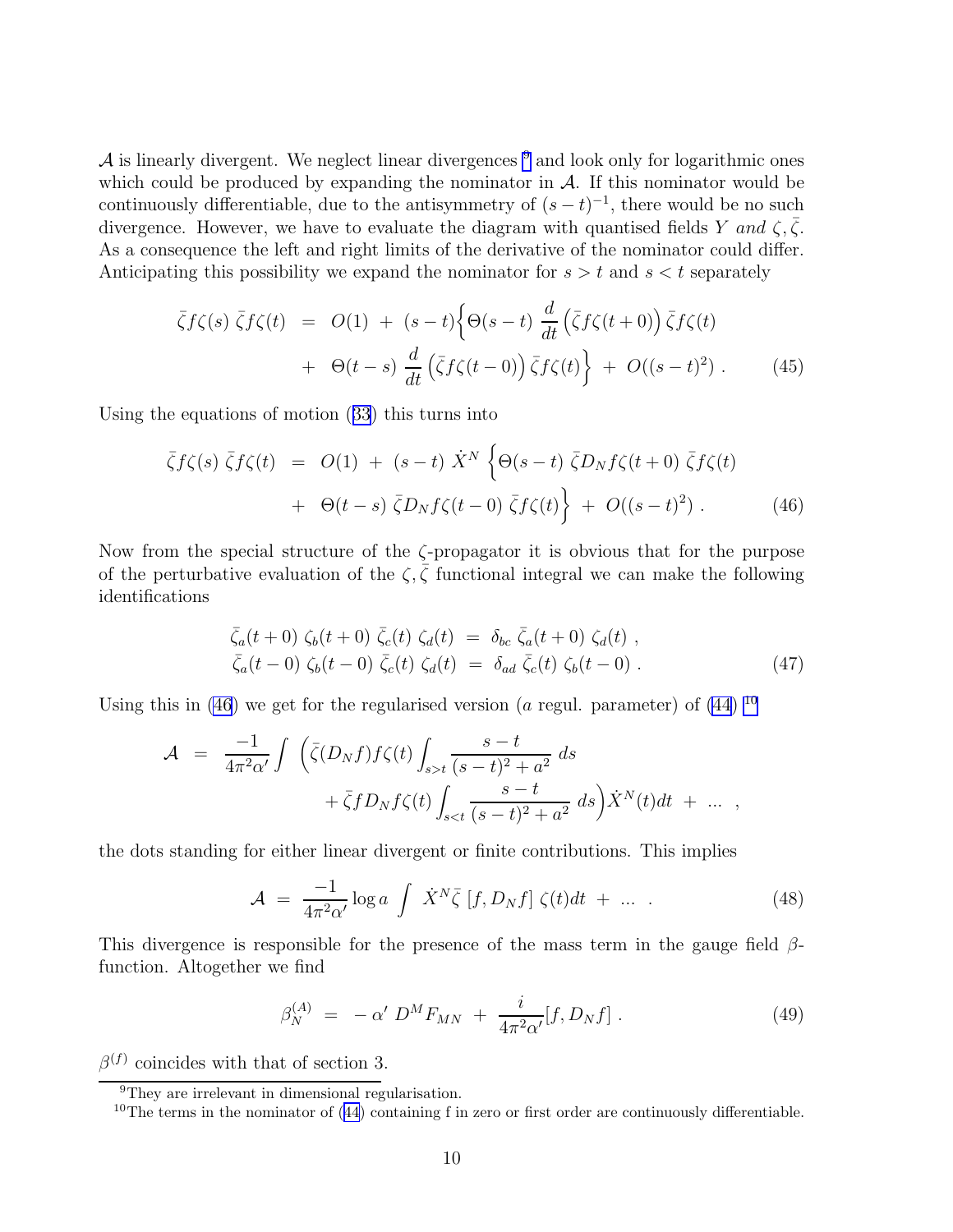$\mathcal A$  is linearly divergent. We neglect linear divergences  $9$  and look only for logarithmic ones which could be produced by expanding the nominator in  $A$ . If this nominator would be continuously differentiable, due to the antisymmetry of  $(s-t)^{-1}$ , there would be no such divergence. However, we have to evaluate the diagram with quantised fields Y and  $\zeta, \bar{\zeta}$ . As a consequence the left and right limits of the derivative of the nominator could differ. Anticipating this possibility we expand the nominator for  $s > t$  and  $s < t$  separately

$$
\bar{\zeta}f\zeta(s)\bar{\zeta}f\zeta(t) = O(1) + (s-t)\left\{\Theta(s-t)\frac{d}{dt}\left(\bar{\zeta}f\zeta(t+0)\right)\bar{\zeta}f\zeta(t) + \Theta(t-s)\frac{d}{dt}\left(\bar{\zeta}f\zeta(t-0)\right)\bar{\zeta}f\zeta(t)\right\} + O((s-t)^2). \tag{45}
$$

Using the equations of motion([33](#page-8-0)) this turns into

$$
\bar{\zeta}f\zeta(s)\bar{\zeta}f\zeta(t) = O(1) + (s-t)\dot{X}^N \left\{ \Theta(s-t)\bar{\zeta}D_Nf\zeta(t+0)\bar{\zeta}f\zeta(t) \right. \\ \left. + \Theta(t-s)\bar{\zeta}D_Nf\zeta(t-0)\bar{\zeta}f\zeta(t) \right\} + O((s-t)^2) \,. \tag{46}
$$

Now from the special structure of the ζ-propagator it is obvious that for the purpose of the perturbative evaluation of the  $\zeta$ ,  $\bar{\zeta}$  functional integral we can make the following identifications

$$
\begin{aligned}\n\bar{\zeta}_a(t+0) \zeta_b(t+0) \bar{\zeta}_c(t) \zeta_d(t) &= \delta_{bc} \bar{\zeta}_a(t+0) \zeta_d(t) ,\\ \n\bar{\zeta}_a(t-0) \zeta_b(t-0) \bar{\zeta}_c(t) \zeta_d(t) &= \delta_{ad} \bar{\zeta}_c(t) \zeta_b(t-0) .\n\end{aligned} \tag{47}
$$

Using this in (46) we get for the regularised version (a regul. parameter) of [\(44\)](#page-9-0)  $^{10}$ 

$$
\mathcal{A} = \frac{-1}{4\pi^2 \alpha'} \int \left( \bar{\zeta}(D_N f) f \zeta(t) \int_{s > t} \frac{s - t}{(s - t)^2 + a^2} ds + \bar{\zeta} f D_N f \zeta(t) \int_{s < t} \frac{s - t}{(s - t)^2 + a^2} ds \right) \dot{X}^N(t) dt + \dots ,
$$

the dots standing for either linear divergent or finite contributions. This implies

$$
\mathcal{A} = \frac{-1}{4\pi^2 \alpha'} \log a \int \dot{X}^N \bar{\zeta} \left[ f, D_N f \right] \zeta(t) dt + \dots \tag{48}
$$

This divergence is responsible for the presence of the mass term in the gauge field  $\beta$ function. Altogether we find

$$
\beta_N^{(A)} = -\alpha' D^M F_{MN} + \frac{i}{4\pi^2 \alpha'} [f, D_N f] \,. \tag{49}
$$

 $\beta^{(f)}$  coincides with that of section 3.

<sup>&</sup>lt;sup>9</sup>They are irrelevant in dimensional regularisation.

 $10$ The terms in the nominator of [\(44](#page-9-0)) containing f in zero or first order are continuously differentiable.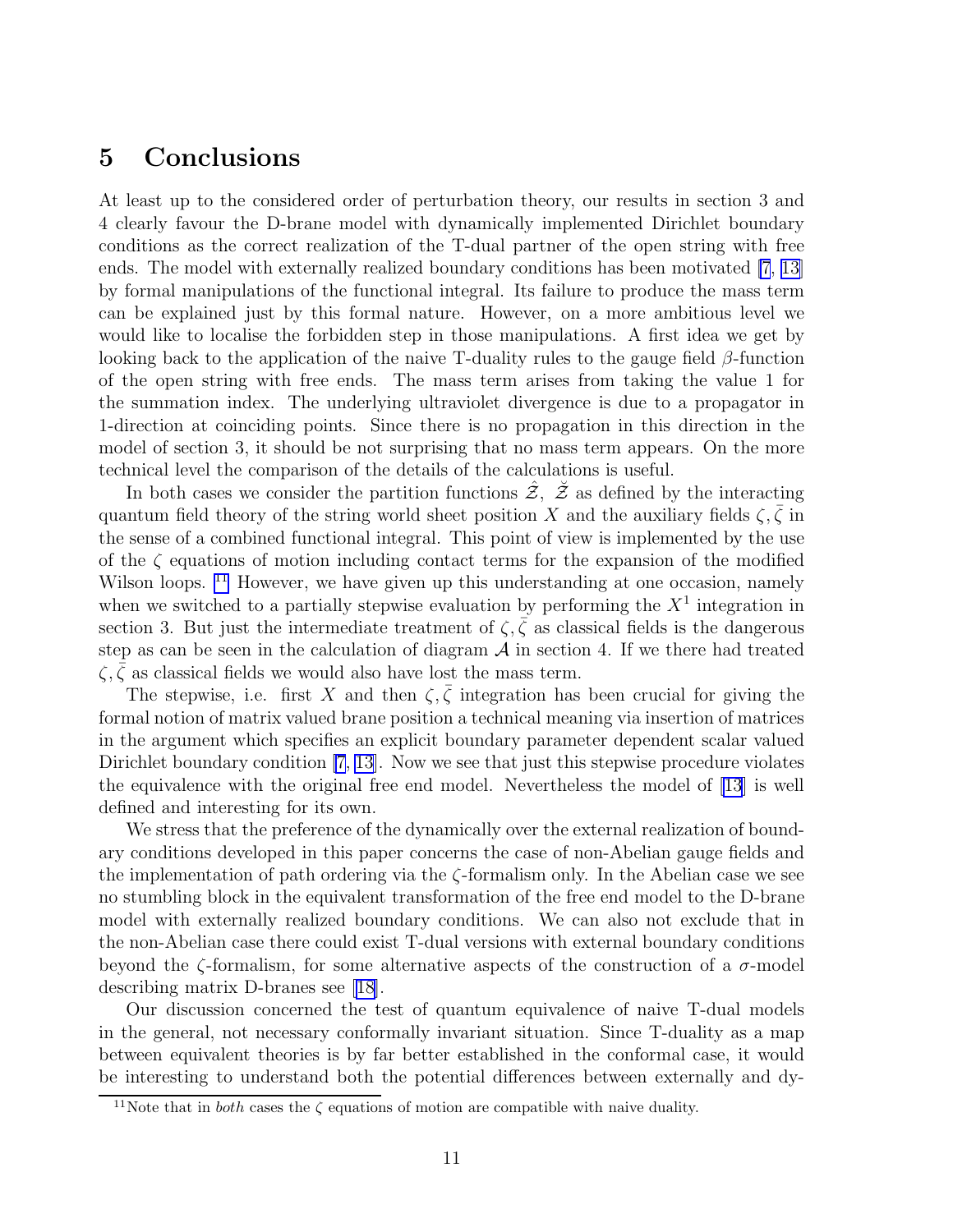#### 5 Conclusions

At least up to the considered order of perturbation theory, our results in section 3 and 4 clearly favour the D-brane model with dynamically implemented Dirichlet boundary conditions as the correct realization of the T-dual partner of the open string with free ends. The model with externally realized boundary conditions has been motivated [\[7](#page-12-0), [13\]](#page-13-0) by formal manipulations of the functional integral. Its failure to produce the mass term can be explained just by this formal nature. However, on a more ambitious level we would like to localise the forbidden step in those manipulations. A first idea we get by looking back to the application of the naive T-duality rules to the gauge field  $\beta$ -function of the open string with free ends. The mass term arises from taking the value 1 for the summation index. The underlying ultraviolet divergence is due to a propagator in 1-direction at coinciding points. Since there is no propagation in this direction in the model of section 3, it should be not surprising that no mass term appears. On the more technical level the comparison of the details of the calculations is useful.

In both cases we consider the partition functions  $\tilde{z}$ ,  $\tilde{z}$  as defined by the interacting quantum field theory of the string world sheet position X and the auxiliary fields  $\zeta, \bar{\zeta}$  in the sense of a combined functional integral. This point of view is implemented by the use of the  $\zeta$  equations of motion including contact terms for the expansion of the modified Wilson loops. <sup>11</sup> However, we have given up this understanding at one occasion, namely when we switched to a partially stepwise evaluation by performing the  $X^1$  integration in section 3. But just the intermediate treatment of  $\zeta$ ,  $\overline{\zeta}$  as classical fields is the dangerous step as can be seen in the calculation of diagram  $A$  in section 4. If we there had treated  $\zeta$ ,  $\zeta$  as classical fields we would also have lost the mass term.

The stepwise, i.e. first X and then  $\zeta, \bar{\zeta}$  integration has been crucial for giving the formal notion of matrix valued brane position a technical meaning via insertion of matrices in the argument which specifies an explicit boundary parameter dependent scalar valued Dirichlet boundary condition [\[7](#page-12-0), [13\]](#page-13-0). Now we see that just this stepwise procedure violates the equivalence with the original free end model. Nevertheless the model of [\[13](#page-13-0)] is well defined and interesting for its own.

We stress that the preference of the dynamically over the external realization of boundary conditions developed in this paper concerns the case of non-Abelian gauge fields and the implementation of path ordering via the  $\zeta$ -formalism only. In the Abelian case we see no stumbling block in the equivalent transformation of the free end model to the D-brane model with externally realized boundary conditions. We can also not exclude that in the non-Abelian case there could exist T-dual versions with external boundary conditions beyond the  $\zeta$ -formalism, for some alternative aspects of the construction of a  $\sigma$ -model describing matrix D-branes see [\[18\]](#page-13-0).

Our discussion concerned the test of quantum equivalence of naive T-dual models in the general, not necessary conformally invariant situation. Since T-duality as a map between equivalent theories is by far better established in the conformal case, it would be interesting to understand both the potential differences between externally and dy-

<sup>&</sup>lt;sup>11</sup>Note that in *both* cases the  $\zeta$  equations of motion are compatible with naive duality.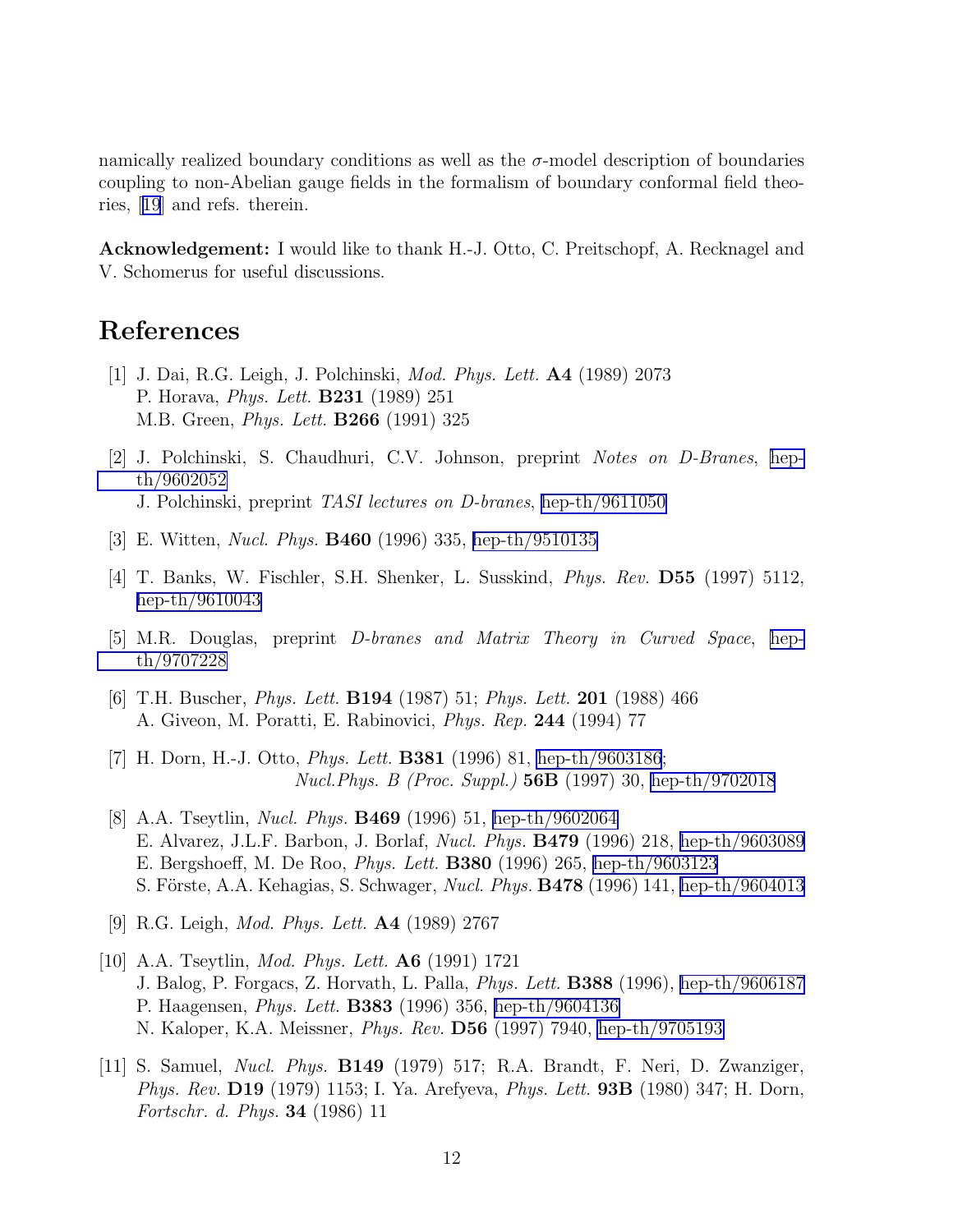<span id="page-12-0"></span>namically realized boundary conditions as well as the  $\sigma$ -model description of boundaries coupling to non-Abelian gauge fields in the formalism of boundary conformal field theories,[[19](#page-13-0)] and refs. therein.

Acknowledgement: I would like to thank H.-J. Otto, C. Preitschopf, A. Recknagel and V. Schomerus for useful discussions.

### References

- [1] J. Dai, R.G. Leigh, J. Polchinski, *Mod. Phys. Lett.* A4 (1989) 2073 P. Horava, *Phys. Lett.* B231 (1989) 251 M.B. Green, *Phys. Lett.* B266 (1991) 325
- [2] J. Polchinski, S. Chaudhuri, C.V. Johnson, preprint *Notes on D-Branes*, [hep](http://arxiv.org/abs/hep-th/9602052)[th/9602052](http://arxiv.org/abs/hep-th/9602052) J. Polchinski, preprint *TASI lectures on D-branes*, [hep-th/9611050](http://arxiv.org/abs/hep-th/9611050)
- [3] E. Witten, *Nucl. Phys.* B460 (1996) 335, [hep-th/9510135](http://arxiv.org/abs/hep-th/9510135)
- [4] T. Banks, W. Fischler, S.H. Shenker, L. Susskind, *Phys. Rev.* D55 (1997) 5112, [hep-th/9610043](http://arxiv.org/abs/hep-th/9610043)
- [5] M.R. Douglas, preprint *D-branes and Matrix Theory in Curved Space*, [hep](http://arxiv.org/abs/hep-th/9707228)[th/9707228](http://arxiv.org/abs/hep-th/9707228)
- [6] T.H. Buscher, *Phys. Lett.* B194 (1987) 51; *Phys. Lett.* 201 (1988) 466 A. Giveon, M. Poratti, E. Rabinovici, *Phys. Rep.* 244 (1994) 77
- [7] H. Dorn, H.-J. Otto, *Phys. Lett.* B381 (1996) 81, [hep-th/9603186](http://arxiv.org/abs/hep-th/9603186); *Nucl.Phys. B (Proc. Suppl.)* 56B (1997) 30, [hep-th/9702018](http://arxiv.org/abs/hep-th/9702018)
- [8] A.A. Tseytlin, *Nucl. Phys.* B469 (1996) 51, [hep-th/9602064](http://arxiv.org/abs/hep-th/9602064) E. Alvarez, J.L.F. Barbon, J. Borlaf, *Nucl. Phys.* B479 (1996) 218, [hep-th/9603089](http://arxiv.org/abs/hep-th/9603089) E. Bergshoeff, M. De Roo, *Phys. Lett.* B380 (1996) 265, [hep-th/9603123](http://arxiv.org/abs/hep-th/9603123) S. Förste, A.A. Kehagias, S. Schwager, *Nucl. Phys.* **B478** (1996) 141, [hep-th/9604013](http://arxiv.org/abs/hep-th/9604013)
- [9] R.G. Leigh, *Mod. Phys. Lett.* A4 (1989) 2767
- [10] A.A. Tseytlin, *Mod. Phys. Lett.* A6 (1991) 1721 J. Balog, P. Forgacs, Z. Horvath, L. Palla, *Phys. Lett.* B388 (1996), [hep-th/9606187](http://arxiv.org/abs/hep-th/9606187) P. Haagensen, *Phys. Lett.* B383 (1996) 356, [hep-th/9604136](http://arxiv.org/abs/hep-th/9604136) N. Kaloper, K.A. Meissner, *Phys. Rev.* D56 (1997) 7940, [hep-th/9705193](http://arxiv.org/abs/hep-th/9705193)
- [11] S. Samuel, *Nucl. Phys.* B149 (1979) 517; R.A. Brandt, F. Neri, D. Zwanziger, *Phys. Rev.* D19 (1979) 1153; I. Ya. Arefyeva, *Phys. Lett.* 93B (1980) 347; H. Dorn, *Fortschr. d. Phys.* 34 (1986) 11